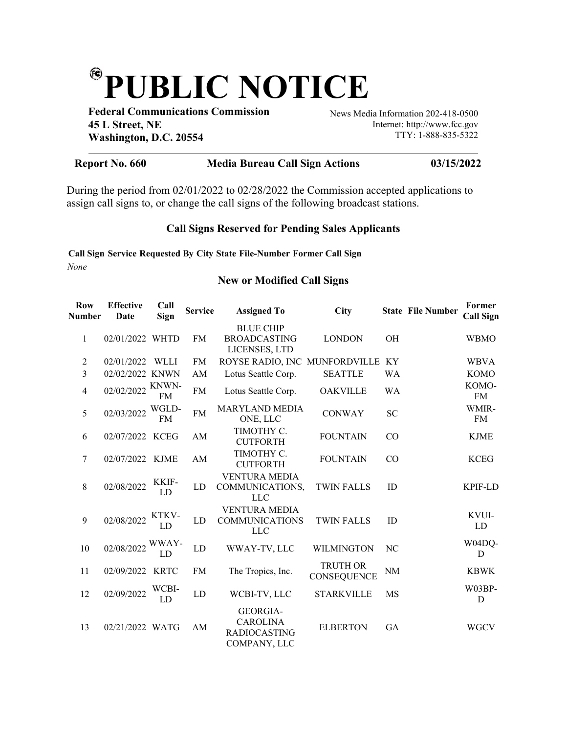## (FC) **PUBLIC NOTICE**

**Federal Communications Commission 45 L Street, NE Washington, D.C. 20554**

News Media Information 202-418-0500 Internet: http://www.fcc.gov TTY: 1-888-835-5322

## **Report No. 660 Media Bureau Call Sign Actions 03/15/2022**

During the period from 02/01/2022 to 02/28/2022 the Commission accepted applications to assign call signs to, or change the call signs of the following broadcast stations.

## **Call Signs Reserved for Pending Sales Applicants**

**Call Sign Service Requested By City State File-Number Former Call Sign** *None*

## **New or Modified Call Signs**

| <b>Row</b><br><b>Number</b> | <b>Effective</b><br>Date | Call<br>Sign       | <b>Service</b> | <b>Assigned To</b>                                                 | <b>City</b>                    |           | <b>State File Number</b> | Former<br><b>Call Sign</b> |
|-----------------------------|--------------------------|--------------------|----------------|--------------------------------------------------------------------|--------------------------------|-----------|--------------------------|----------------------------|
| 1                           | 02/01/2022 WHTD          |                    | <b>FM</b>      | <b>BLUE CHIP</b><br><b>BROADCASTING</b><br>LICENSES, LTD           | <b>LONDON</b>                  | <b>OH</b> |                          | <b>WBMO</b>                |
| 2                           | 02/01/2022               | WLLI               | <b>FM</b>      | ROYSE RADIO, INC MUNFORDVILLE                                      |                                | KY        |                          | <b>WBVA</b>                |
| 3                           | 02/02/2022 KNWN          |                    | AM             | Lotus Seattle Corp.                                                | <b>SEATTLE</b>                 | WA        |                          | <b>KOMO</b>                |
| $\overline{4}$              | 02/02/2022               | KNWN-<br><b>FM</b> | <b>FM</b>      | Lotus Seattle Corp.                                                | <b>OAKVILLE</b>                | <b>WA</b> |                          | KOMO-<br><b>FM</b>         |
| 5                           | 02/03/2022               | WGLD-<br><b>FM</b> | <b>FM</b>      | <b>MARYLAND MEDIA</b><br>ONE, LLC                                  | <b>CONWAY</b>                  | <b>SC</b> |                          | WMIR-<br><b>FM</b>         |
| 6                           | 02/07/2022 KCEG          |                    | AM             | TIMOTHY C.<br><b>CUTFORTH</b>                                      | <b>FOUNTAIN</b>                | CO        |                          | <b>KJME</b>                |
| 7                           | 02/07/2022               | <b>KJME</b>        | AM             | TIMOTHY C.<br><b>CUTFORTH</b>                                      | <b>FOUNTAIN</b>                | CO        |                          | <b>KCEG</b>                |
| 8                           | 02/08/2022               | KKIF-<br>LD        | LD             | <b>VENTURA MEDIA</b><br>COMMUNICATIONS,<br><b>LLC</b>              | <b>TWIN FALLS</b>              | ID        |                          | <b>KPIF-LD</b>             |
| 9                           | 02/08/2022               | KTKV-<br>LD        | LD             | <b>VENTURA MEDIA</b><br><b>COMMUNICATIONS</b><br><b>LLC</b>        | <b>TWIN FALLS</b>              | ID        |                          | KVUI-<br>LD                |
| 10                          | 02/08/2022               | WWAY-<br>LD        | LD             | WWAY-TV, LLC                                                       | WILMINGTON                     | NC        |                          | W04DQ-<br>D                |
| 11                          | 02/09/2022               | <b>KRTC</b>        | <b>FM</b>      | The Tropics, Inc.                                                  | <b>TRUTH OR</b><br>CONSEQUENCE | <b>NM</b> |                          | <b>KBWK</b>                |
| 12                          | 02/09/2022               | WCBI-<br>LD        | ${\rm LD}$     | WCBI-TV, LLC                                                       | <b>STARKVILLE</b>              | <b>MS</b> |                          | W03BP-<br>D                |
| 13                          | 02/21/2022 WATG          |                    | AM             | GEORGIA-<br><b>CAROLINA</b><br><b>RADIOCASTING</b><br>COMPANY, LLC | <b>ELBERTON</b>                | GA        |                          | <b>WGCV</b>                |